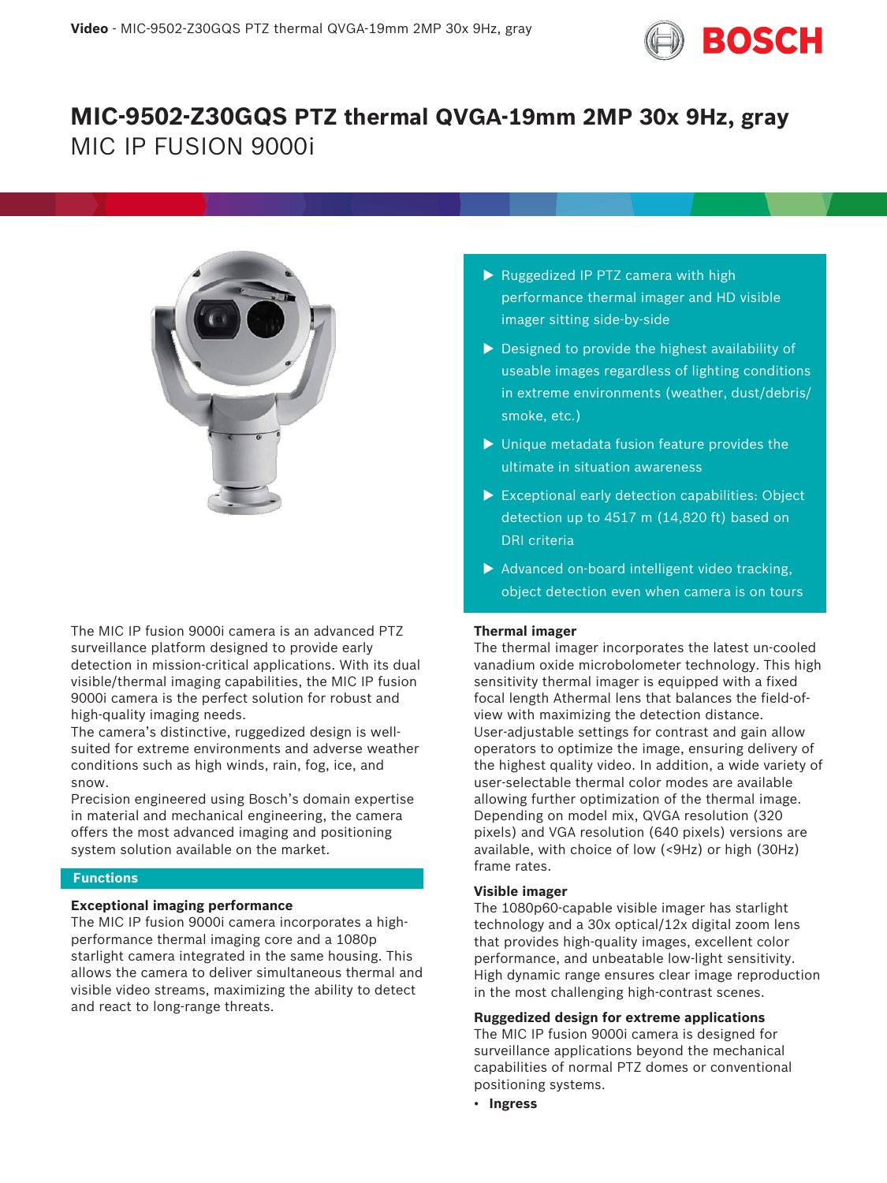

# **MIC-9502-Z30GQS PTZ thermal QVGA-19mm 2MP 30x 9Hz, gray** MIC IP FUSION 9000i



The MIC IP fusion 9000i camera is an advanced PTZ surveillance platform designed to provide early detection in mission-critical applications. With its dual visible/thermal imaging capabilities, the MIC IP fusion 9000i camera is the perfect solution for robust and high-quality imaging needs.

The camera's distinctive, ruggedized design is wellsuited for extreme environments and adverse weather conditions such as high winds, rain, fog, ice, and snow.

Precision engineered using Bosch's domain expertise in material and mechanical engineering, the camera offers the most advanced imaging and positioning system solution available on the market.

#### **Functions**

#### **Exceptional imaging performance**

The MIC IP fusion 9000i camera incorporates a highperformance thermal imaging core and a 1080p starlight camera integrated in the same housing. This allows the camera to deliver simultaneous thermal and visible video streams, maximizing the ability to detect and react to long-range threats.

- $\triangleright$  Ruggedized IP PTZ camera with high performance thermal imager and HD visible imager sitting side-by-side
- $\triangleright$  Designed to provide the highest availability of useable images regardless of lighting conditions in extreme environments (weather, dust/debris/ smoke, etc.)
- $\blacktriangleright$  Unique metadata fusion feature provides the ultimate in situation awareness
- $\triangleright$  Exceptional early detection capabilities: Object detection up to 4517 m (14,820 ft) based on DRI criteria
- $\blacktriangleright$  Advanced on-board intelligent video tracking, object detection even when camera is on tours

#### **Thermal imager**

The thermal imager incorporates the latest un-cooled vanadium oxide microbolometer technology. This high sensitivity thermal imager is equipped with a fixed focal length Athermal lens that balances the field-ofview with maximizing the detection distance. User-adjustable settings for contrast and gain allow operators to optimize the image, ensuring delivery of the highest quality video. In addition, a wide variety of user-selectable thermal color modes are available allowing further optimization of the thermal image. Depending on model mix, QVGA resolution (320 pixels) and VGA resolution (640 pixels) versions are available, with choice of low (<9Hz) or high (30Hz) frame rates.

### **Visible imager**

The 1080p60-capable visible imager has starlight technology and a 30x optical/12x digital zoom lens that provides high-quality images, excellent color performance, and unbeatable low-light sensitivity. High dynamic range ensures clear image reproduction in the most challenging high-contrast scenes.

#### **Ruggedized design for extreme applications**

The MIC IP fusion 9000i camera is designed for surveillance applications beyond the mechanical capabilities of normal PTZ domes or conventional positioning systems.

• **Ingress**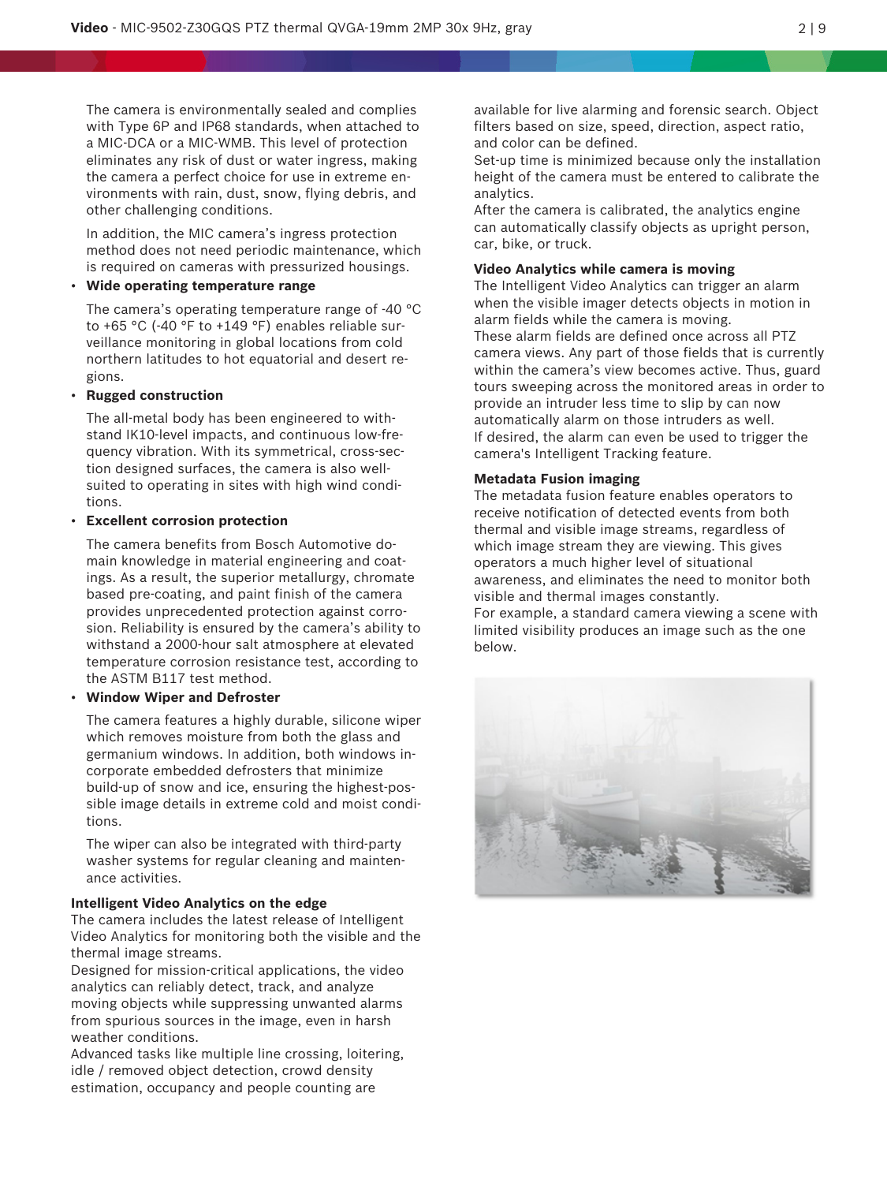The camera is environmentally sealed and complies with Type 6P and IP68 standards, when attached to a MIC-DCA or a MIC-WMB. This level of protection eliminates any risk of dust or water ingress, making the camera a perfect choice for use in extreme environments with rain, dust, snow, flying debris, and other challenging conditions.

In addition, the MIC camera's ingress protection method does not need periodic maintenance, which is required on cameras with pressurized housings.

### • **Wide operating temperature range**

The camera's operating temperature range of -40 °C to +65 °C (-40 °F to +149 °F) enables reliable surveillance monitoring in global locations from cold northern latitudes to hot equatorial and desert regions.

#### • **Rugged construction**

The all-metal body has been engineered to withstand IK10-level impacts, and continuous low-frequency vibration. With its symmetrical, cross-section designed surfaces, the camera is also wellsuited to operating in sites with high wind conditions.

#### • **Excellent corrosion protection**

The camera benefits from Bosch Automotive domain knowledge in material engineering and coatings. As a result, the superior metallurgy, chromate based pre-coating, and paint finish of the camera provides unprecedented protection against corrosion. Reliability is ensured by the camera's ability to withstand a 2000-hour salt atmosphere at elevated temperature corrosion resistance test, according to the ASTM B117 test method.

#### • **Window Wiper and Defroster**

The camera features a highly durable, silicone wiper which removes moisture from both the glass and germanium windows. In addition, both windows incorporate embedded defrosters that minimize build-up of snow and ice, ensuring the highest-possible image details in extreme cold and moist conditions.

The wiper can also be integrated with third-party washer systems for regular cleaning and maintenance activities.

#### **Intelligent Video Analytics on the edge**

The camera includes the latest release of Intelligent Video Analytics for monitoring both the visible and the thermal image streams.

Designed for mission-critical applications, the video analytics can reliably detect, track, and analyze moving objects while suppressing unwanted alarms from spurious sources in the image, even in harsh weather conditions.

Advanced tasks like multiple line crossing, loitering, idle / removed object detection, crowd density estimation, occupancy and people counting are

available for live alarming and forensic search. Object filters based on size, speed, direction, aspect ratio, and color can be defined.

Set-up time is minimized because only the installation height of the camera must be entered to calibrate the analytics.

After the camera is calibrated, the analytics engine can automatically classify objects as upright person, car, bike, or truck.

#### **Video Analytics while camera is moving**

The Intelligent Video Analytics can trigger an alarm when the visible imager detects objects in motion in alarm fields while the camera is moving. These alarm fields are defined once across all PTZ camera views. Any part of those fields that is currently within the camera's view becomes active. Thus, guard tours sweeping across the monitored areas in order to provide an intruder less time to slip by can now automatically alarm on those intruders as well. If desired, the alarm can even be used to trigger the camera's Intelligent Tracking feature.

#### **Metadata Fusion imaging**

The metadata fusion feature enables operators to receive notification of detected events from both thermal and visible image streams, regardless of which image stream they are viewing. This gives operators a much higher level of situational awareness, and eliminates the need to monitor both visible and thermal images constantly.

For example, a standard camera viewing a scene with limited visibility produces an image such as the one below.

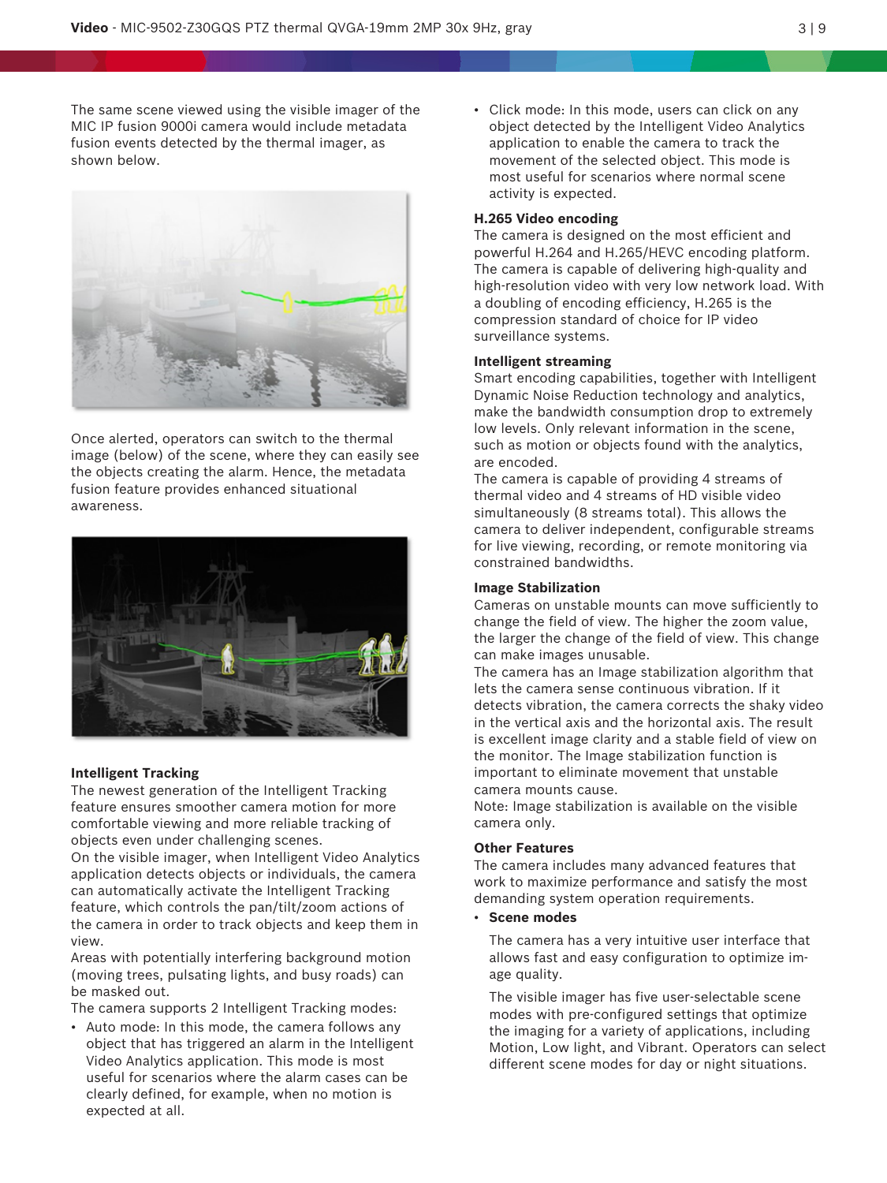The same scene viewed using the visible imager of the MIC IP fusion 9000i camera would include metadata fusion events detected by the thermal imager, as shown below.



Once alerted, operators can switch to the thermal image (below) of the scene, where they can easily see the objects creating the alarm. Hence, the metadata fusion feature provides enhanced situational awareness.



#### **Intelligent Tracking**

The newest generation of the Intelligent Tracking feature ensures smoother camera motion for more comfortable viewing and more reliable tracking of objects even under challenging scenes.

On the visible imager, when Intelligent Video Analytics application detects objects or individuals, the camera can automatically activate the Intelligent Tracking feature, which controls the pan/tilt/zoom actions of the camera in order to track objects and keep them in view.

Areas with potentially interfering background motion (moving trees, pulsating lights, and busy roads) can be masked out.

The camera supports 2 Intelligent Tracking modes:

• Auto mode: In this mode, the camera follows any object that has triggered an alarm in the Intelligent Video Analytics application. This mode is most useful for scenarios where the alarm cases can be clearly defined, for example, when no motion is expected at all.

• Click mode: In this mode, users can click on any object detected by the Intelligent Video Analytics application to enable the camera to track the movement of the selected object. This mode is most useful for scenarios where normal scene activity is expected.

#### **H.265 Video encoding**

The camera is designed on the most efficient and powerful H.264 and H.265/HEVC encoding platform. The camera is capable of delivering high-quality and high-resolution video with very low network load. With a doubling of encoding efficiency, H.265 is the compression standard of choice for IP video surveillance systems.

#### **Intelligent streaming**

Smart encoding capabilities, together with Intelligent Dynamic Noise Reduction technology and analytics, make the bandwidth consumption drop to extremely low levels. Only relevant information in the scene, such as motion or objects found with the analytics, are encoded.

The camera is capable of providing 4 streams of thermal video and 4 streams of HD visible video simultaneously (8 streams total). This allows the camera to deliver independent, configurable streams for live viewing, recording, or remote monitoring via constrained bandwidths.

#### **Image Stabilization**

Cameras on unstable mounts can move sufficiently to change the field of view. The higher the zoom value, the larger the change of the field of view. This change can make images unusable.

The camera has an Image stabilization algorithm that lets the camera sense continuous vibration. If it detects vibration, the camera corrects the shaky video in the vertical axis and the horizontal axis. The result is excellent image clarity and a stable field of view on the monitor. The Image stabilization function is important to eliminate movement that unstable camera mounts cause.

Note: Image stabilization is available on the visible camera only.

#### **Other Features**

The camera includes many advanced features that work to maximize performance and satisfy the most demanding system operation requirements.

• **Scene modes**

The camera has a very intuitive user interface that allows fast and easy configuration to optimize image quality.

The visible imager has five user-selectable scene modes with pre-configured settings that optimize the imaging for a variety of applications, including Motion, Low light, and Vibrant. Operators can select different scene modes for day or night situations.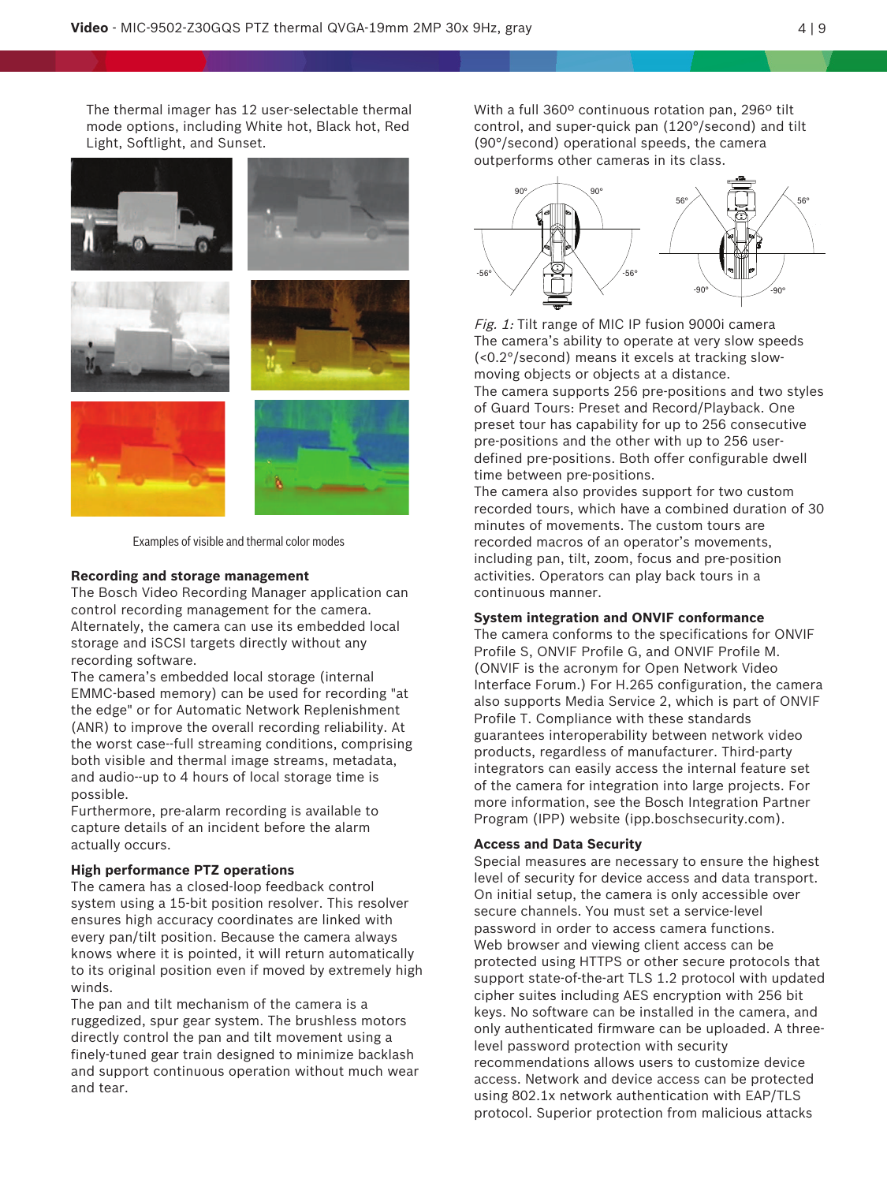The thermal imager has 12 user-selectable thermal mode options, including White hot, Black hot, Red Light, Softlight, and Sunset.



Examples of visible and thermal color modes

#### **Recording and storage management**

The Bosch Video Recording Manager application can control recording management for the camera. Alternately, the camera can use its embedded local storage and iSCSI targets directly without any recording software.

The camera's embedded local storage (internal EMMC-based memory) can be used for recording "at the edge" or for Automatic Network Replenishment (ANR) to improve the overall recording reliability. At the worst case--full streaming conditions, comprising both visible and thermal image streams, metadata, and audio--up to 4 hours of local storage time is possible.

Furthermore, pre-alarm recording is available to capture details of an incident before the alarm actually occurs.

#### **High performance PTZ operations**

The camera has a closed-loop feedback control system using a 15-bit position resolver. This resolver ensures high accuracy coordinates are linked with every pan/tilt position. Because the camera always knows where it is pointed, it will return automatically to its original position even if moved by extremely high winds.

The pan and tilt mechanism of the camera is a ruggedized, spur gear system. The brushless motors directly control the pan and tilt movement using a finely-tuned gear train designed to minimize backlash and support continuous operation without much wear and tear.

With a full 360º continuous rotation pan, 296º tilt control, and super-quick pan (120°/second) and tilt (90°/second) operational speeds, the camera outperforms other cameras in its class.



Fig. 1: Tilt range of MIC IP fusion 9000i camera The camera's ability to operate at very slow speeds (<0.2°/second) means it excels at tracking slowmoving objects or objects at a distance.

The camera supports 256 pre-positions and two styles of Guard Tours: Preset and Record/Playback. One preset tour has capability for up to 256 consecutive pre-positions and the other with up to 256 userdefined pre-positions. Both offer configurable dwell time between pre-positions.

The camera also provides support for two custom recorded tours, which have a combined duration of 30 minutes of movements. The custom tours are recorded macros of an operator's movements, including pan, tilt, zoom, focus and pre-position activities. Operators can play back tours in a continuous manner.

#### **System integration and ONVIF conformance**

The camera conforms to the specifications for ONVIF Profile S, ONVIF Profile G, and ONVIF Profile M. (ONVIF is the acronym for Open Network Video Interface Forum.) For H.265 configuration, the camera also supports Media Service 2, which is part of ONVIF Profile T. Compliance with these standards guarantees interoperability between network video products, regardless of manufacturer. Third-party integrators can easily access the internal feature set of the camera for integration into large projects. For more information, see the Bosch Integration Partner Program (IPP) website (ipp.boschsecurity.com).

#### **Access and Data Security**

Special measures are necessary to ensure the highest level of security for device access and data transport. On initial setup, the camera is only accessible over secure channels. You must set a service-level password in order to access camera functions. Web browser and viewing client access can be protected using HTTPS or other secure protocols that support state-of-the-art TLS 1.2 protocol with updated cipher suites including AES encryption with 256 bit keys. No software can be installed in the camera, and only authenticated firmware can be uploaded. A threelevel password protection with security recommendations allows users to customize device access. Network and device access can be protected using 802.1x network authentication with EAP/TLS protocol. Superior protection from malicious attacks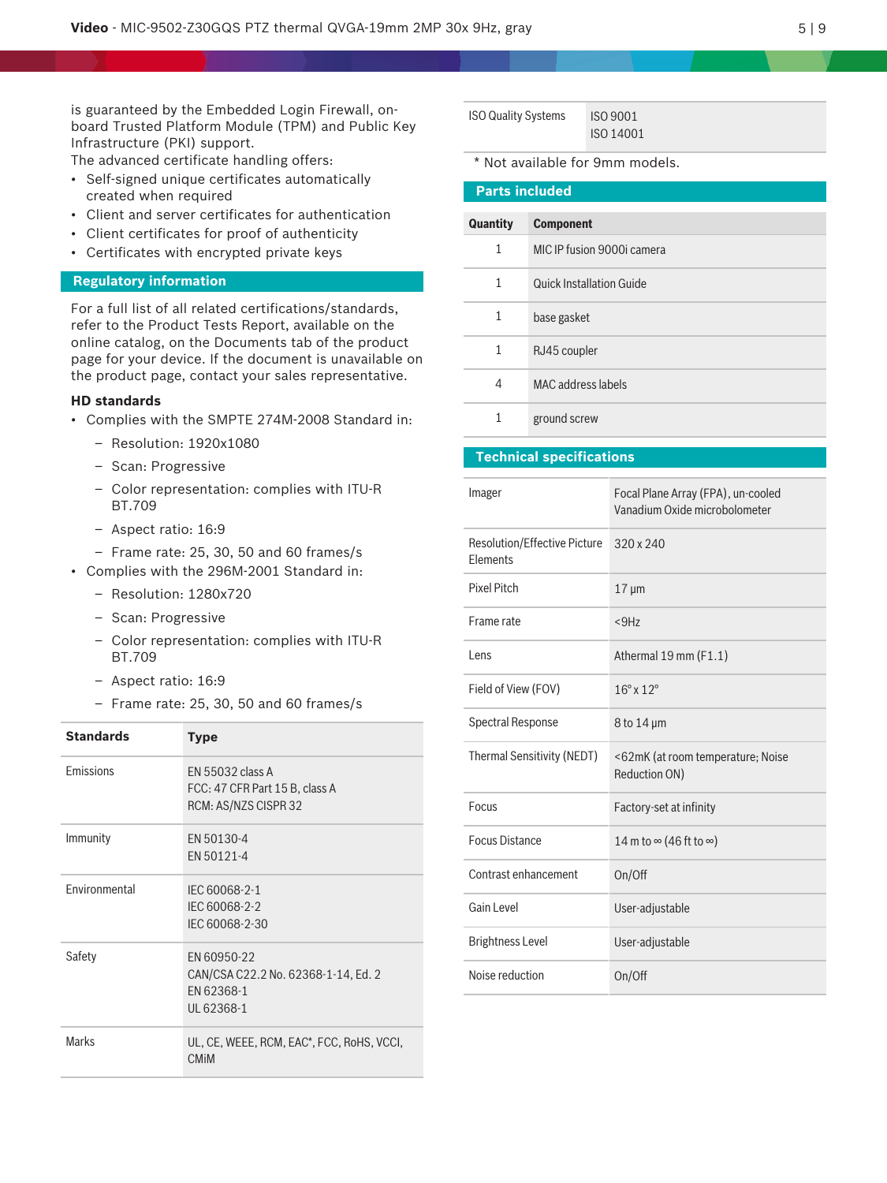is guaranteed by the Embedded Login Firewall, onboard Trusted Platform Module (TPM) and Public Key Infrastructure (PKI) support.

The advanced certificate handling offers:

- Self-signed unique certificates automatically created when required
- Client and server certificates for authentication
- Client certificates for proof of authenticity
- Certificates with encrypted private keys

#### **Regulatory information**

For a full list of all related certifications/standards, refer to the Product Tests Report, available on the online catalog, on the Documents tab of the product page for your device. If the document is unavailable on the product page, contact your sales representative.

#### **HD standards**

- Complies with the SMPTE 274M-2008 Standard in:
	- Resolution: 1920x1080
	- Scan: Progressive
	- Color representation: complies with ITU-R BT.709
	- Aspect ratio: 16:9
	- Frame rate: 25, 30, 50 and 60 frames/s
- Complies with the 296M-2001 Standard in:
	- Resolution: 1280x720
	- Scan: Progressive
	- Color representation: complies with ITU-R BT.709
	- Aspect ratio: 16:9
	- Frame rate: 25, 30, 50 and 60 frames/s

| <b>Standards</b> | <b>Type</b>                                                                    |
|------------------|--------------------------------------------------------------------------------|
| Emissions        | EN 55032 class A<br>FCC: 47 CFR Part 15 B, class A<br>RCM: AS/NZS CISPR 32     |
| Immunity         | EN 50130-4<br>EN 50121-4                                                       |
| Environmental    | IEC 60068-2-1<br>IEC 60068-2-2<br>IEC 60068-2-30                               |
| Safety           | EN 60950-22<br>CAN/CSA C22.2 No. 62368-1-14, Ed. 2<br>EN 62368-1<br>UL 62368-1 |
| <b>Marks</b>     | UL, CE, WEEE, RCM, EAC*, FCC, RoHS, VCCI,<br><b>CMIM</b>                       |

| <b>ISO Quality Systems</b> | ISO 9001  |
|----------------------------|-----------|
|                            | ISO 14001 |

\* Not available for 9mm models.

| <b>Parts included</b> |                                 |  |
|-----------------------|---------------------------------|--|
| Quantity              | <b>Component</b>                |  |
|                       |                                 |  |
| $\mathbf{1}$          | MIC IP fusion 9000i camera      |  |
| 1                     | <b>Quick Installation Guide</b> |  |
|                       |                                 |  |
| $\mathbf{1}$          | base gasket                     |  |
| 1                     | RJ45 coupler                    |  |
|                       |                                 |  |
| 4                     | MAC address labels              |  |
| 1                     | ground screw                    |  |

#### **Technical specifications**

| Imager                                                 | Focal Plane Array (FPA), un-cooled<br>Vanadium Oxide microbolometer |
|--------------------------------------------------------|---------------------------------------------------------------------|
| <b>Resolution/Effective Picture</b><br><b>Flements</b> | $320 \times 240$                                                    |
| <b>Pixel Pitch</b>                                     | $17 \mu m$                                                          |
| Frame rate                                             | $<$ 9Hz                                                             |
| Lens                                                   | Athermal 19 mm (F1.1)                                               |
| Field of View (FOV)                                    | $16^{\circ}$ x $12^{\circ}$                                         |
| <b>Spectral Response</b>                               | $8$ to 14 $\mu$ m                                                   |
| Thermal Sensitivity (NEDT)                             | <62mK (at room temperature; Noise<br>Reduction ON)                  |
| Focus                                                  | Factory-set at infinity                                             |
| <b>Focus Distance</b>                                  | 14 m to $\infty$ (46 ft to $\infty$ )                               |
| Contrast enhancement                                   | On/Off                                                              |
| Gain Level                                             | User-adjustable                                                     |
| <b>Brightness Level</b>                                | User-adjustable                                                     |
| Noise reduction                                        | On/Off                                                              |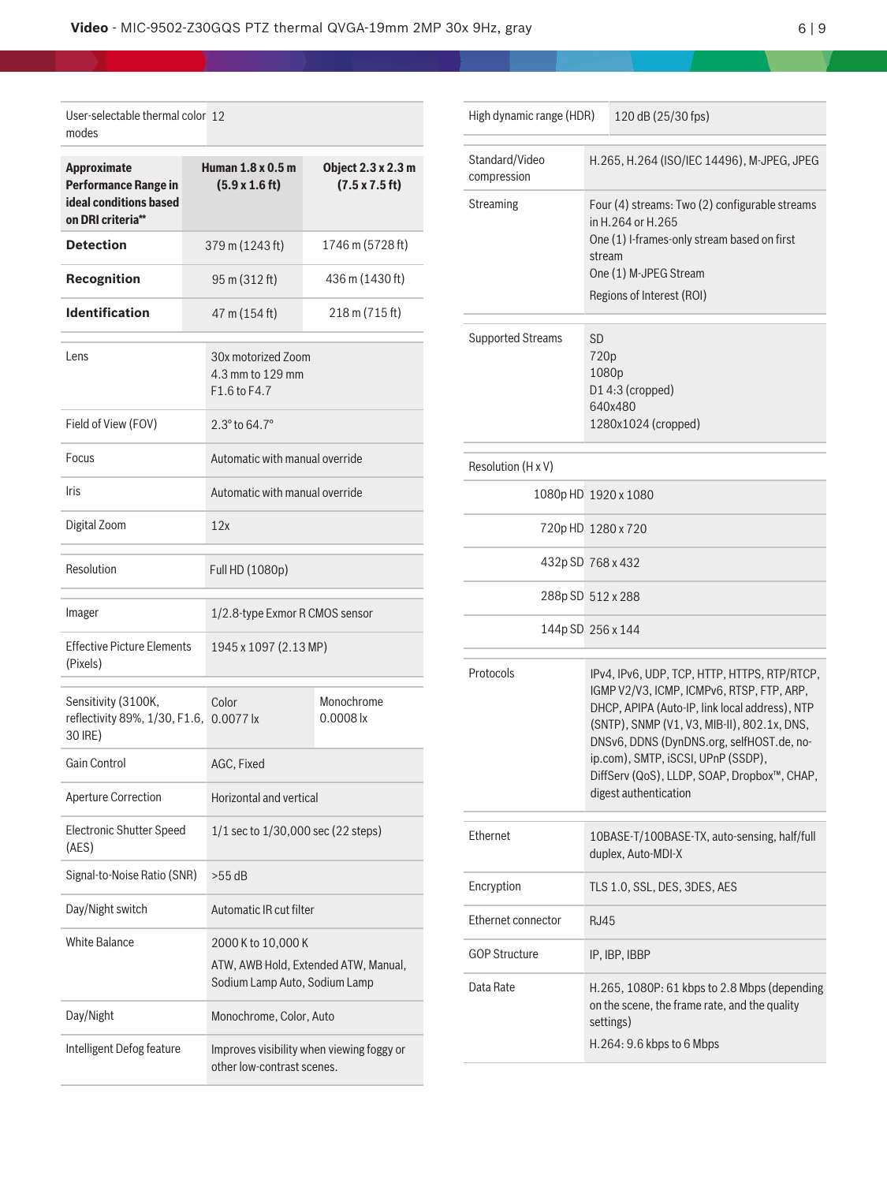| User-selectable thermal color 12<br>modes                                                        |  |                                                                                             |                                                     |  |
|--------------------------------------------------------------------------------------------------|--|---------------------------------------------------------------------------------------------|-----------------------------------------------------|--|
| <b>Approximate</b><br><b>Performance Range in</b><br>ideal conditions based<br>on DRI criteria** |  | Human 1.8 x 0.5 m<br>$(5.9 \times 1.6 \text{ ft})$                                          | Object 2.3 x 2.3 m<br>$(7.5 \times 7.5 \text{ ft})$ |  |
| <b>Detection</b>                                                                                 |  | 379 m (1243 ft)                                                                             | 1746 m (5728 ft)                                    |  |
| Recognition                                                                                      |  | 95 m (312 ft)                                                                               | 436 m (1430 ft)                                     |  |
| <b>Identification</b>                                                                            |  | 47 m (154 ft)                                                                               | 218 m (715 ft)                                      |  |
| Lens                                                                                             |  | 30x motorized Zoom<br>4.3 mm to 129 mm<br>F1.6 to F4.7                                      |                                                     |  |
| Field of View (FOV)                                                                              |  |                                                                                             |                                                     |  |
| Focus                                                                                            |  | Automatic with manual override                                                              |                                                     |  |
| <b>Iris</b>                                                                                      |  | Automatic with manual override                                                              |                                                     |  |
| Digital Zoom                                                                                     |  | 12x                                                                                         |                                                     |  |
| Resolution                                                                                       |  | Full HD (1080p)                                                                             |                                                     |  |
| Imager                                                                                           |  | 1/2.8-type Exmor R CMOS sensor                                                              |                                                     |  |
| <b>Effective Picture Elements</b><br>(Pixels)                                                    |  | 1945 x 1097 (2.13 MP)                                                                       |                                                     |  |
| Sensitivity (3100K,<br>reflectivity 89%, 1/30, F1.6, 0.0077 lx<br>30 IRE)                        |  | Color                                                                                       | Monochrome<br>$0.0008$ lx                           |  |
| <b>Gain Control</b>                                                                              |  | AGC, Fixed                                                                                  |                                                     |  |
| <b>Aperture Correction</b>                                                                       |  | Horizontal and vertical                                                                     |                                                     |  |
| <b>Electronic Shutter Speed</b><br>(AES)                                                         |  | $1/1$ sec to $1/30,000$ sec (22 steps)                                                      |                                                     |  |
| Signal-to-Noise Ratio (SNR)                                                                      |  | $>55$ dB                                                                                    |                                                     |  |
| Day/Night switch                                                                                 |  | Automatic IR cut filter                                                                     |                                                     |  |
| <b>White Balance</b>                                                                             |  | 2000 K to 10,000 K<br>ATW, AWB Hold, Extended ATW, Manual,<br>Sodium Lamp Auto, Sodium Lamp |                                                     |  |
| Day/Night                                                                                        |  | Monochrome, Color, Auto                                                                     |                                                     |  |
| Intelligent Defog feature                                                                        |  | Improves visibility when viewing foggy or<br>other low-contrast scenes.                     |                                                     |  |

| High dynamic range (HDR)      |                                                                                                                                                                                                                                                                                                                                                       | 120 dB (25/30 fps) |
|-------------------------------|-------------------------------------------------------------------------------------------------------------------------------------------------------------------------------------------------------------------------------------------------------------------------------------------------------------------------------------------------------|--------------------|
| Standard/Video<br>compression | H.265, H.264 (ISO/IEC 14496), M-JPEG, JPEG                                                                                                                                                                                                                                                                                                            |                    |
| <b>Streaming</b>              | Four (4) streams: Two (2) configurable streams<br>in H.264 or H.265<br>One (1) I-frames-only stream based on first<br>stream<br>One (1) M-JPEG Stream<br>Regions of Interest (ROI)                                                                                                                                                                    |                    |
| <b>Supported Streams</b>      | <b>SD</b><br>720p<br>1080p<br>D14:3 (cropped)<br>640x480<br>1280x1024 (cropped)                                                                                                                                                                                                                                                                       |                    |
| Resolution (H x V)            |                                                                                                                                                                                                                                                                                                                                                       |                    |
| 1080p HD 1920 x 1080          |                                                                                                                                                                                                                                                                                                                                                       |                    |
|                               | 720pHD 1280 x 720                                                                                                                                                                                                                                                                                                                                     |                    |
|                               | 432p SD 768 x 432                                                                                                                                                                                                                                                                                                                                     |                    |
|                               | 288p SD 512 x 288                                                                                                                                                                                                                                                                                                                                     |                    |
|                               | 144p SD 256 x 144                                                                                                                                                                                                                                                                                                                                     |                    |
| Protocols                     | IPv4, IPv6, UDP, TCP, HTTP, HTTPS, RTP/RTCP,<br>IGMP V2/V3, ICMP, ICMPv6, RTSP, FTP, ARP,<br>DHCP, APIPA (Auto-IP, link local address), NTP<br>(SNTP), SNMP (V1, V3, MIB-II), 802.1x, DNS,<br>DNSv6, DDNS (DynDNS.org, selfHOST.de, no-<br>ip.com), SMTP, iSCSI, UPnP (SSDP),<br>DiffServ (QoS), LLDP, SOAP, Dropbox™, CHAP,<br>digest authentication |                    |
| Ethernet                      | 10BASE-T/100BASE-TX, auto-sensing, half/full<br>duplex, Auto-MDI-X                                                                                                                                                                                                                                                                                    |                    |
| Encryption                    | TLS 1.0, SSL, DES, 3DES, AES                                                                                                                                                                                                                                                                                                                          |                    |
| Ethernet connector            | RJ45                                                                                                                                                                                                                                                                                                                                                  |                    |
| <b>GOP Structure</b>          |                                                                                                                                                                                                                                                                                                                                                       | IP, IBP, IBBP      |
| Data Rate                     | H.265, 1080P: 61 kbps to 2.8 Mbps (depending<br>on the scene, the frame rate, and the quality<br>settings)<br>H.264: 9.6 kbps to 6 Mbps                                                                                                                                                                                                               |                    |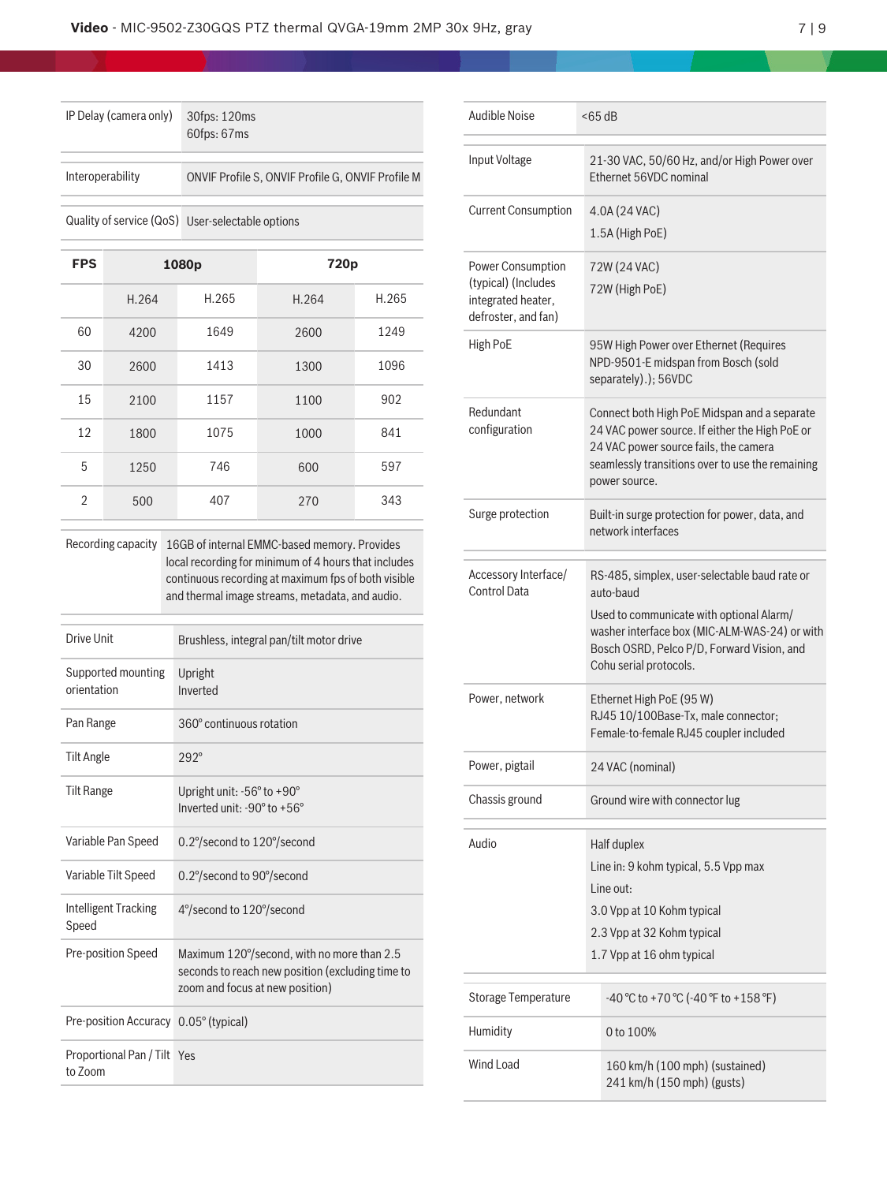| IP Delay (camera only) | 30fps: 120ms<br>60fps: 67ms                       |
|------------------------|---------------------------------------------------|
| Interoperability       | ONVIF Profile S, ONVIF Profile G, ONVIF Profile M |
|                        | Quality of service (QoS) User-selectable options  |

| <b>FPS</b>     |       | 1080p | 720p  |       |
|----------------|-------|-------|-------|-------|
|                | H.264 | H.265 | H.264 | H.265 |
| 60             | 4200  | 1649  | 2600  | 1249  |
| 30             | 2600  | 1413  | 1300  | 1096  |
| 15             | 2100  | 1157  | 1100  | 902   |
| 12             | 1800  | 1075  | 1000  | 841   |
| 5              | 1250  | 746   | 600   | 597   |
| $\mathfrak{D}$ | 500   | 407   | 270   | 343   |

Recording capacity 16GB of internal EMMC-based memory. Provides local recording for minimum of 4 hours that includes continuous recording at maximum fps of both visible and thermal image streams, metadata, and audio.

| Drive Unit                             | Brushless, integral pan/tilt motor drive                                                                                          |
|----------------------------------------|-----------------------------------------------------------------------------------------------------------------------------------|
| Supported mounting<br>orientation      | Upright<br>Inverted                                                                                                               |
| Pan Range                              | 360° continuous rotation                                                                                                          |
| <b>Tilt Angle</b>                      | $292^\circ$                                                                                                                       |
| <b>Tilt Range</b>                      | Upright unit: -56° to +90°<br>Inverted unit: -90° to +56°                                                                         |
| Variable Pan Speed                     | 0.2°/second to 120°/second                                                                                                        |
| Variable Tilt Speed                    | 0.2°/second to 90°/second                                                                                                         |
| Intelligent Tracking<br>Speed          | 4°/second to 120°/second                                                                                                          |
| Pre-position Speed                     | Maximum 120°/second, with no more than 2.5<br>seconds to reach new position (excluding time to<br>zoom and focus at new position) |
| Pre-position Accuracy 0.05° (typical)  |                                                                                                                                   |
| Proportional Pan / Tilt Yes<br>to Zoom |                                                                                                                                   |

| Audible Noise                                                                         | $<$ 65 dB                                                                                                                                                                                                                       |  |  |
|---------------------------------------------------------------------------------------|---------------------------------------------------------------------------------------------------------------------------------------------------------------------------------------------------------------------------------|--|--|
| Input Voltage                                                                         | 21-30 VAC, 50/60 Hz, and/or High Power over<br>Ethernet 56VDC nominal                                                                                                                                                           |  |  |
| <b>Current Consumption</b>                                                            | 4.0A (24 VAC)<br>1.5A (High PoE)                                                                                                                                                                                                |  |  |
| Power Consumption<br>(typical) (Includes<br>integrated heater,<br>defroster, and fan) | 72W (24 VAC)<br>72W (High PoE)                                                                                                                                                                                                  |  |  |
| High PoE                                                                              | 95W High Power over Ethernet (Requires<br>NPD-9501-E midspan from Bosch (sold<br>separately).); 56VDC                                                                                                                           |  |  |
| Redundant<br>configuration                                                            | Connect both High PoE Midspan and a separate<br>24 VAC power source. If either the High PoE or<br>24 VAC power source fails, the camera<br>seamlessly transitions over to use the remaining<br>power source.                    |  |  |
| Surge protection                                                                      | Built-in surge protection for power, data, and<br>network interfaces                                                                                                                                                            |  |  |
| Accessory Interface/<br>Control Data                                                  | RS-485, simplex, user-selectable baud rate or<br>auto-baud<br>Used to communicate with optional Alarm/<br>washer interface box (MIC-ALM-WAS-24) or with<br>Bosch OSRD, Pelco P/D, Forward Vision, and<br>Cohu serial protocols. |  |  |
| Power, network                                                                        | Ethernet High PoE (95 W)<br>RJ45 10/100Base-Tx, male connector;<br>Female-to-female RJ45 coupler included                                                                                                                       |  |  |
| Power, pigtail                                                                        | 24 VAC (nominal)                                                                                                                                                                                                                |  |  |
| Chassis ground                                                                        | Ground wire with connector lug                                                                                                                                                                                                  |  |  |
| Audio                                                                                 | Half duplex<br>Line in: 9 kohm typical, 5.5 Vpp max<br>I ine out:<br>3.0 Vpp at 10 Kohm typical<br>2.3 Vpp at 32 Kohm typical<br>1.7 Vpp at 16 ohm typical                                                                      |  |  |
| <b>Storage Temperature</b>                                                            | $-40$ °C to +70 °C (-40 °F to +158 °F)                                                                                                                                                                                          |  |  |
| Humidity                                                                              | 0 to 100%                                                                                                                                                                                                                       |  |  |
| Wind Load                                                                             | 160 km/h (100 mph) (sustained)<br>241 km/h (150 mph) (gusts)                                                                                                                                                                    |  |  |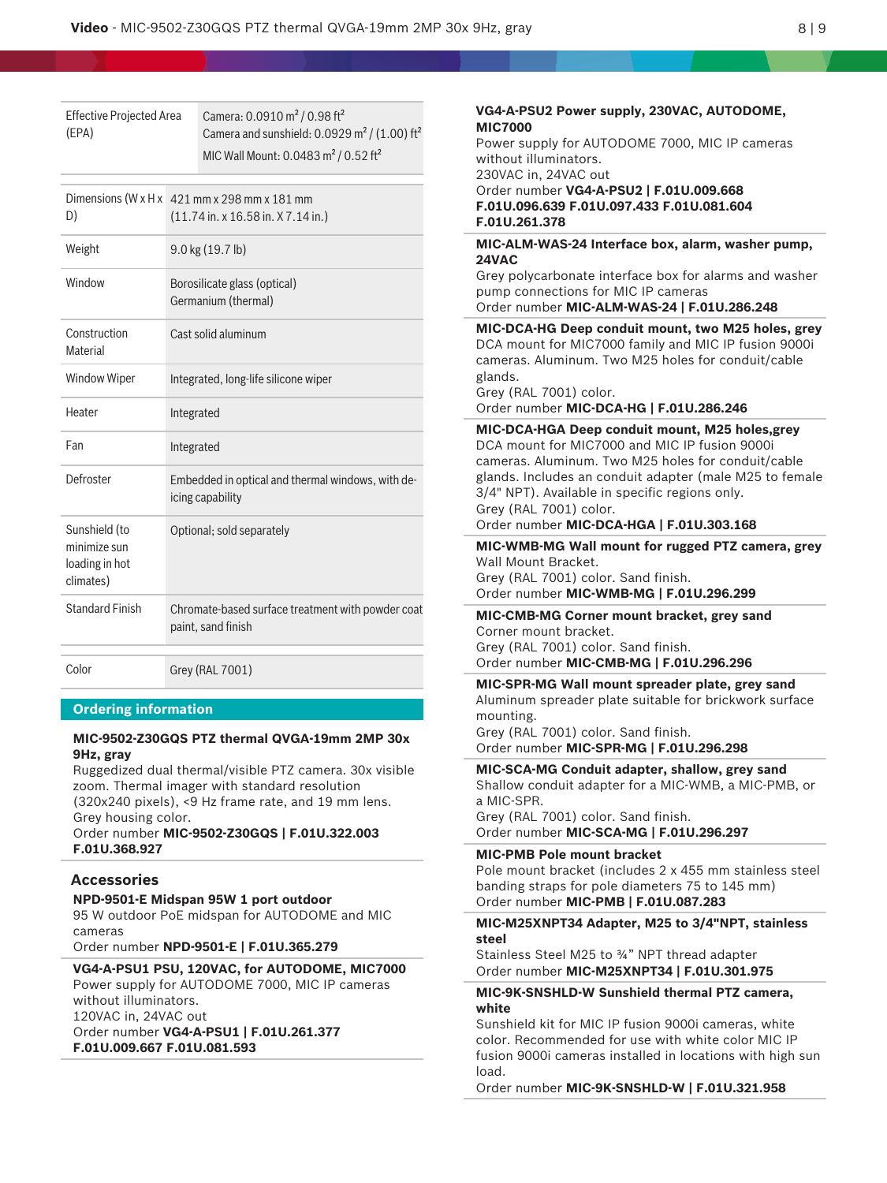Camera: 0.0910 m² / 0.98 ft² Camera and sunshield:  $0.0929$  m<sup>2</sup> / (1.00) ft<sup>2</sup> MIC Wall Mount: 0.0483 m<sup>2</sup> / 0.52 ft<sup>2</sup> **VG4-A-PSU2 Power supply, 230VAC, AUTODOME, MIC7000** Power supply for AUTODOME 7000, MIC IP cameras without illuminators. 230VAC in, 24VAC out Order number **VG4-A-PSU2 | F.01U.009.668 F.01U.096.639 F.01U.097.433 F.01U.081.604 F.01U.261.378 MIC-ALM-WAS-24 Interface box, alarm, washer pump, 24VAC** Grey polycarbonate interface box for alarms and washer pump connections for MIC IP cameras Order number **MIC-ALM-WAS-24 | F.01U.286.248 MIC-DCA-HG Deep conduit mount, two M25 holes, grey** DCA mount for MIC7000 family and MIC IP fusion 9000i cameras. Aluminum. Two M25 holes for conduit/cable glands. Grey (RAL 7001) color. Order number **MIC-DCA-HG | F.01U.286.246 MIC-DCA-HGA Deep conduit mount, M25 holes,grey** DCA mount for MIC7000 and MIC IP fusion 9000i cameras. Aluminum. Two M25 holes for conduit/cable glands. Includes an conduit adapter (male M25 to female 3/4" NPT). Available in specific regions only. Grey (RAL 7001) color. Order number **MIC-DCA-HGA | F.01U.303.168 MIC-WMB-MG Wall mount for rugged PTZ camera, grey** Wall Mount Bracket. Grey (RAL 7001) color. Sand finish. Order number **MIC-WMB-MG | F.01U.296.299 MIC-CMB-MG Corner mount bracket, grey sand** Corner mount bracket. Grey (RAL 7001) color. Sand finish. Order number **MIC-CMB-MG | F.01U.296.296 MIC-SPR-MG Wall mount spreader plate, grey sand** Aluminum spreader plate suitable for brickwork surface mounting. Grey (RAL 7001) color. Sand finish. Order number **MIC-SPR-MG | F.01U.296.298 MIC-SCA-MG Conduit adapter, shallow, grey sand** Shallow conduit adapter for a MIC-WMB, a MIC-PMB, or a MIC-SPR. Grey (RAL 7001) color. Sand finish. Order number **MIC-SCA-MG | F.01U.296.297 MIC-PMB Pole mount bracket** Pole mount bracket (includes 2 x 455 mm stainless steel banding straps for pole diameters 75 to 145 mm) Order number **MIC-PMB | F.01U.087.283 MIC-M25XNPT34 Adapter, M25 to 3/4"NPT, stainless steel** Stainless Steel M25 to ¾" NPT thread adapter Order number **MIC-M25XNPT34 | F.01U.301.975 MIC-9K-SNSHLD-W Sunshield thermal PTZ camera, white** Sunshield kit for MIC IP fusion 9000i cameras, white color. Recommended for use with white color MIC IP fusion 9000i cameras installed in locations with high sun load. Order number **MIC-9K-SNSHLD-W | F.01U.321.958**

Dimensions (W x H x 421 mm x 298 mm x 181 mm D) (11.74 in. x 16.58 in. X 7.14 in.) Weight 9.0 kg (19.7 lb) Window Borosilicate glass (optical) Germanium (thermal) Construction Material Cast solid aluminum Window Wiper Integrated, long-life silicone wiper Heater Integrated Fan Integrated Defroster Embedded in optical and thermal windows, with deicing capability Sunshield (to minimize sun loading in hot climates) Optional; sold separately Standard Finish Chromate-based surface treatment with powder coat paint, sand finish Color Grey (RAL 7001) **Ordering information**

### **MIC-9502-Z30GQS PTZ thermal QVGA-19mm 2MP 30x 9Hz, gray**

Ruggedized dual thermal/visible PTZ camera. 30x visible zoom. Thermal imager with standard resolution (320x240 pixels), <9 Hz frame rate, and 19 mm lens. Grey housing color.

Order number **MIC-9502-Z30GQS | F.01U.322.003 F.01U.368.927**

## **Accessories**

Effective Projected Area

(EPA)

**NPD-9501-E Midspan 95W 1 port outdoor** 95 W outdoor PoE midspan for AUTODOME and MIC cameras

Order number **NPD-9501-E | F.01U.365.279**

# **VG4-A-PSU1 PSU, 120VAC, for AUTODOME, MIC7000**

Power supply for AUTODOME 7000, MIC IP cameras without illuminators. 120VAC in, 24VAC out

Order number **VG4-A-PSU1 | F.01U.261.377 F.01U.009.667 F.01U.081.593**